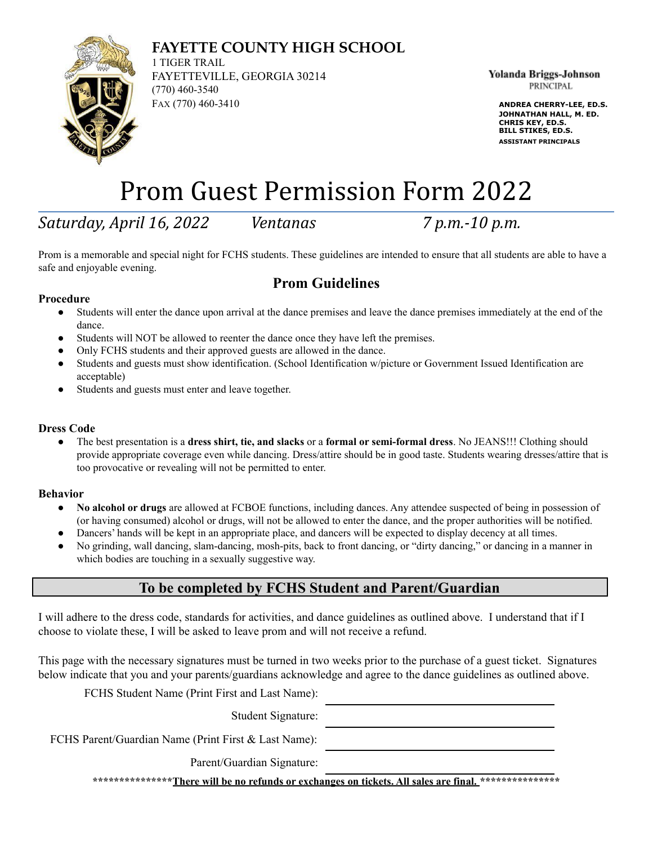# **FAYETTE COUNTY HIGH SCHOOL**



1 TIGER TRAIL FAYETTEVILLE, GEORGIA 30214 (770) 460-3540 FAX (770) 460-3410 **ANDREA CHERRY-LEE, ED.S.**

Yolanda Briggs-Johnson **PRINCIPAL** 

**JOHNATHAN HALL, M. ED. CHRIS KEY, ED.S. BILL STIKES, ED.S. ASSISTANT PRINCIPALS**

# Prom Guest Permission Form 2022

*Saturday, April 16, 2022 Ventanas 7 p.m.-10 p.m.*

Prom is a memorable and special night for FCHS students. These guidelines are intended to ensure that all students are able to have a safe and enjoyable evening.

# **Prom Guidelines**

### **Procedure**

- Students will enter the dance upon arrival at the dance premises and leave the dance premises immediately at the end of the dance.
- Students will NOT be allowed to reenter the dance once they have left the premises.
- Only FCHS students and their approved guests are allowed in the dance.
- Students and guests must show identification. (School Identification w/picture or Government Issued Identification are acceptable)
- Students and guests must enter and leave together.

### **Dress Code**

● The best presentation is a **dress shirt, tie, and slacks** or a **formal or semi-formal dress**. No JEANS!!! Clothing should provide appropriate coverage even while dancing. Dress/attire should be in good taste. Students wearing dresses/attire that is too provocative or revealing will not be permitted to enter.

#### **Behavior**

- **No alcohol or drugs** are allowed at FCBOE functions, including dances. Any attendee suspected of being in possession of (or having consumed) alcohol or drugs, will not be allowed to enter the dance, and the proper authorities will be notified.
- Dancers' hands will be kept in an appropriate place, and dancers will be expected to display decency at all times.
- No grinding, wall dancing, slam-dancing, mosh-pits, back to front dancing, or "dirty dancing," or dancing in a manner in which bodies are touching in a sexually suggestive way.

## **To be completed by FCHS Student and Parent/Guardian**

I will adhere to the dress code, standards for activities, and dance guidelines as outlined above. I understand that if I choose to violate these, I will be asked to leave prom and will not receive a refund.

This page with the necessary signatures must be turned in two weeks prior to the purchase of a guest ticket. Signatures below indicate that you and your parents/guardians acknowledge and agree to the dance guidelines as outlined above.

FCHS Student Name (Print First and Last Name):

Student Signature:

FCHS Parent/Guardian Name (Print First & Last Name):

Parent/Guardian Signature:

**\*\*\*\*\*\*\*\*\*\*\*\*\*\*\*There will be no refunds or exchanges on tickets. All sales are final. \*\*\*\*\*\*\*\*\*\*\*\*\*\*\***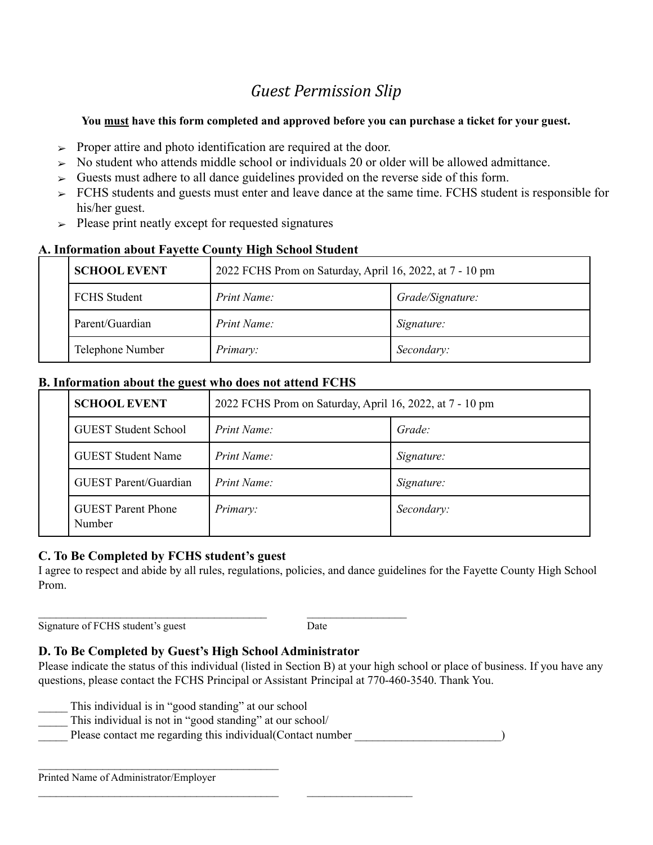# *Guest Permission Slip*

### **You must have this form completed and approved before you can purchase a ticket for your guest.**

- $\triangleright$  Proper attire and photo identification are required at the door.
- $\geq$  No student who attends middle school or individuals 20 or older will be allowed admittance.
- $\triangleright$  Guests must adhere to all dance guidelines provided on the reverse side of this form.
- $\ge$  FCHS students and guests must enter and leave dance at the same time. FCHS student is responsible for his/her guest.
- $\geq$  Please print neatly except for requested signatures

| , information about I a , one count , ingn behoof beaucht |                     |                                                          |                  |  |  |
|-----------------------------------------------------------|---------------------|----------------------------------------------------------|------------------|--|--|
|                                                           | <b>SCHOOL EVENT</b> | 2022 FCHS Prom on Saturday, April 16, 2022, at 7 - 10 pm |                  |  |  |
|                                                           | <b>FCHS</b> Student | Print Name:                                              | Grade/Signature: |  |  |
|                                                           | Parent/Guardian     | Print Name:                                              | Signature:       |  |  |
|                                                           | Telephone Number    | Primary:                                                 | Secondary:       |  |  |

### **A. Information about Fayette County High School Student**

### **B. Information about the guest who does not attend FCHS**

|  | <b>SCHOOL EVENT</b>                 | 2022 FCHS Prom on Saturday, April 16, 2022, at 7 - 10 pm |            |
|--|-------------------------------------|----------------------------------------------------------|------------|
|  | <b>GUEST Student School</b>         | Print Name:                                              | Grade:     |
|  | <b>GUEST Student Name</b>           | Print Name:                                              | Signature: |
|  | <b>GUEST</b> Parent/Guardian        | Print Name:                                              | Signature: |
|  | <b>GUEST</b> Parent Phone<br>Number | Primary:                                                 | Secondary: |

### **C. To Be Completed by FCHS student's guest**

I agree to respect and abide by all rules, regulations, policies, and dance guidelines for the Fayette County High School Prom.

Signature of FCHS student's guest Date

### **D. To Be Completed by Guest's High School Administrator**

 $\mathcal{L}_\text{max}$  and the contract of the contract of the contract of the contract of the contract of the contract of the contract of the contract of the contract of the contract of the contract of the contract of the contrac

 $\mathcal{L}_\text{max}$  and the contract of the contract of the contract of the contract of the contract of the contract of

Please indicate the status of this individual (listed in Section B) at your high school or place of business. If you have any questions, please contact the FCHS Principal or Assistant Principal at 770-460-3540. Thank You.

This individual is in "good standing" at our school

 $\mathcal{L}_\text{max}$ 

- This individual is not in "good standing" at our school/
- Please contact me regarding this individual(Contact number  $\qquad \qquad$ )

Printed Name of Administrator/Employer